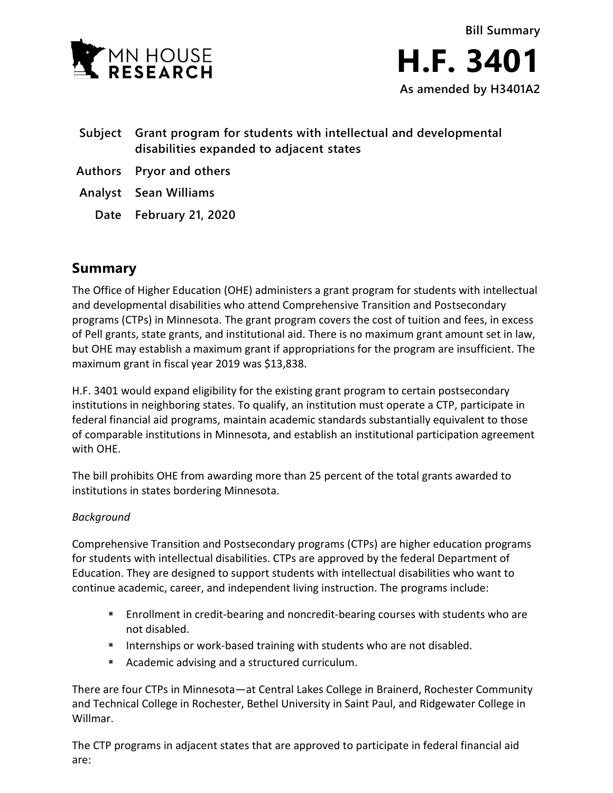

- **Subject Grant program for students with intellectual and developmental disabilities expanded to adjacent states**
- **Authors Pryor and others**
- **Analyst Sean Williams**
	- **Date February 21, 2020**

## **Summary**

The Office of Higher Education (OHE) administers a grant program for students with intellectual and developmental disabilities who attend Comprehensive Transition and Postsecondary programs (CTPs) in Minnesota. The grant program covers the cost of tuition and fees, in excess of Pell grants, state grants, and institutional aid. There is no maximum grant amount set in law, but OHE may establish a maximum grant if appropriations for the program are insufficient. The maximum grant in fiscal year 2019 was \$13,838.

H.F. 3401 would expand eligibility for the existing grant program to certain postsecondary institutions in neighboring states. To qualify, an institution must operate a CTP, participate in federal financial aid programs, maintain academic standards substantially equivalent to those of comparable institutions in Minnesota, and establish an institutional participation agreement with OHE.

The bill prohibits OHE from awarding more than 25 percent of the total grants awarded to institutions in states bordering Minnesota.

## *Background*

Comprehensive Transition and Postsecondary programs (CTPs) are higher education programs for students with intellectual disabilities. CTPs are approved by the federal Department of Education. They are designed to support students with intellectual disabilities who want to continue academic, career, and independent living instruction. The programs include:

- Enrollment in credit-bearing and noncredit-bearing courses with students who are not disabled.
- Internships or work-based training with students who are not disabled.
- Academic advising and a structured curriculum.

There are four CTPs in Minnesota—at Central Lakes College in Brainerd, Rochester Community and Technical College in Rochester, Bethel University in Saint Paul, and Ridgewater College in Willmar.

The CTP programs in adjacent states that are approved to participate in federal financial aid are: